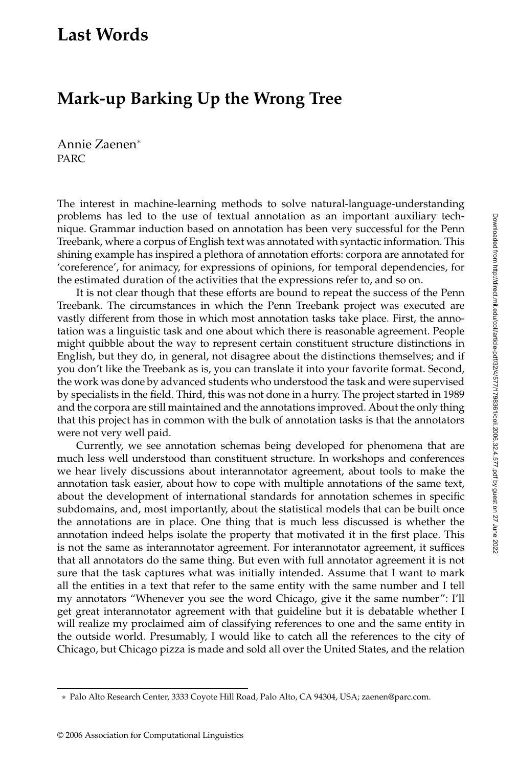## **Last Words**

## **Mark-up Barking Up the Wrong Tree**

Annie Zaenen<sup>∗</sup> **PARC** 

The interest in machine-learning methods to solve natural-language-understanding problems has led to the use of textual annotation as an important auxiliary technique. Grammar induction based on annotation has been very successful for the Penn Treebank, where a corpus of English text was annotated with syntactic information. This shining example has inspired a plethora of annotation efforts: corpora are annotated for 'coreference', for animacy, for expressions of opinions, for temporal dependencies, for the estimated duration of the activities that the expressions refer to, and so on.

It is not clear though that these efforts are bound to repeat the success of the Penn Treebank. The circumstances in which the Penn Treebank project was executed are vastly different from those in which most annotation tasks take place. First, the annotation was a linguistic taskand one about which there is reasonable agreement. People might quibble about the way to represent certain constituent structure distinctions in English, but they do, in general, not disagree about the distinctions themselves; and if you don't like the Treebank as is, you can translate it into your favorite format. Second, the workwas done by advanced students who understood the taskand were supervised by specialists in the field. Third, this was not done in a hurry. The project started in 1989 and the corpora are still maintained and the annotations improved. About the only thing that this project has in common with the bulk of annotation tasks is that the annotators were not very well paid.

Currently, we see annotation schemas being developed for phenomena that are much less well understood than constituent structure. In workshops and conferences we hear lively discussions about interannotator agreement, about tools to make the annotation taskeasier, about how to cope with multiple annotations of the same text, about the development of international standards for annotation schemes in specific subdomains, and, most importantly, about the statistical models that can be built once the annotations are in place. One thing that is much less discussed is whether the annotation indeed helps isolate the property that motivated it in the first place. This is not the same as interannotator agreement. For interannotator agreement, it suffices that all annotators do the same thing. But even with full annotator agreement it is not sure that the task captures what was initially intended. Assume that I want to mark all the entities in a text that refer to the same entity with the same number and I tell my annotators "Whenever you see the word Chicago, give it the same number": I'll get great interannotator agreement with that guideline but it is debatable whether I will realize my proclaimed aim of classifying references to one and the same entity in the outside world. Presumably, I would like to catch all the references to the city of Chicago, but Chicago pizza is made and sold all over the United States, and the relation

<sup>∗</sup> Palo Alto Research Center, 3333 Coyote Hill Road, Palo Alto, CA 94304, USA; zaenen@parc.com.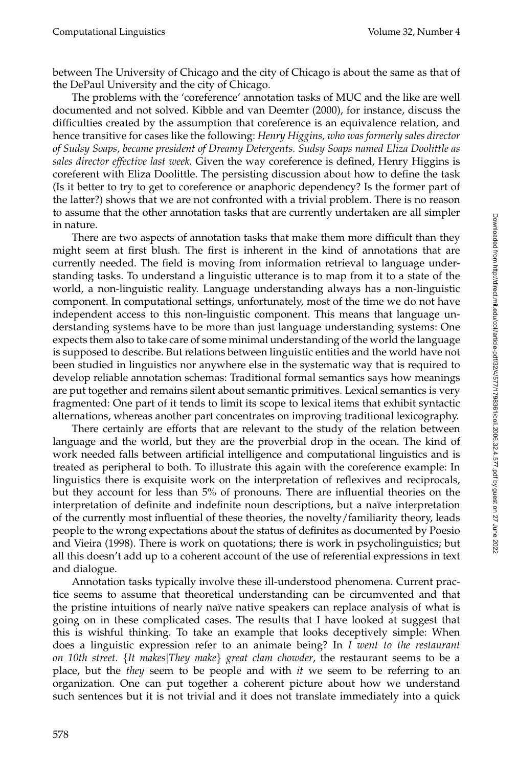between The University of Chicago and the city of Chicago is about the same as that of the DePaul University and the city of Chicago.

The problems with the 'coreference' annotation tasks of MUC and the like are well documented and not solved. Kibble and van Deemter (2000), for instance, discuss the difficulties created by the assumption that coreference is an equivalence relation, and hence transitive for cases like the following: *Henry Higgins, who was formerly sales director of Sudsy Soaps, became president of Dreamy Detergents. Sudsy Soaps named Eliza Doolittle as sales director effective last week.* Given the way coreference is defined, Henry Higgins is coreferent with Eliza Doolittle. The persisting discussion about how to define the task (Is it better to try to get to coreference or anaphoric dependency? Is the former part of the latter?) shows that we are not confronted with a trivial problem. There is no reason to assume that the other annotation tasks that are currently undertaken are all simpler in nature.

There are two aspects of annotation tasks that make them more difficult than they might seem at first blush. The first is inherent in the kind of annotations that are currently needed. The field is moving from information retrieval to language understanding tasks. To understand a linguistic utterance is to map from it to a state of the world, a non-linguistic reality. Language understanding always has a non-linguistic component. In computational settings, unfortunately, most of the time we do not have independent access to this non-linguistic component. This means that language understanding systems have to be more than just language understanding systems: One expects them also to take care of some minimal understanding of the world the language is supposed to describe. But relations between linguistic entities and the world have not been studied in linguistics nor anywhere else in the systematic way that is required to develop reliable annotation schemas: Traditional formal semantics says how meanings are put together and remains silent about semantic primitives. Lexical semantics is very fragmented: One part of it tends to limit its scope to lexical items that exhibit syntactic alternations, whereas another part concentrates on improving traditional lexicography.

There certainly are efforts that are relevant to the study of the relation between language and the world, but they are the proverbial drop in the ocean. The kind of work needed falls between artificial intelligence and computational linguistics and is treated as peripheral to both. To illustrate this again with the coreference example: In linguistics there is exquisite work on the interpretation of reflexives and reciprocals, but they account for less than 5% of pronouns. There are influential theories on the interpretation of definite and indefinite noun descriptions, but a naïve interpretation of the currently most influential of these theories, the novelty/familiarity theory, leads people to the wrong expectations about the status of definites as documented by Poesio and Vieira (1998). There is work on quotations; there is work in psycholinguistics; but all this doesn't add up to a coherent account of the use of referential expressions in text and dialogue.

Annotation tasks typically involve these ill-understood phenomena. Current practice seems to assume that theoretical understanding can be circumvented and that the pristine intuitions of nearly naïve native speakers can replace analysis of what is going on in these complicated cases. The results that I have looked at suggest that this is wishful thinking. To take an example that looks deceptively simple: When does a linguistic expression refer to an animate being? In *I went to the restaurant on 10th street.* {*It makes*|*They make*} *great clam chowder*, the restaurant seems to be a place, but the *they* seem to be people and with *it* we seem to be referring to an organization. One can put together a coherent picture about how we understand such sentences but it is not trivial and it does not translate immediately into a quick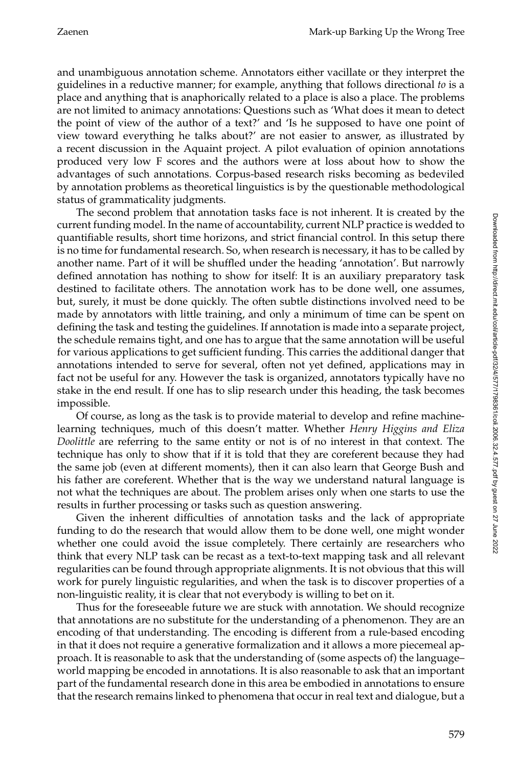and unambiguous annotation scheme. Annotators either vacillate or they interpret the guidelines in a reductive manner; for example, anything that follows directional *to* is a place and anything that is anaphorically related to a place is also a place. The problems are not limited to animacy annotations: Questions such as 'What does it mean to detect the point of view of the author of a text?' and 'Is he supposed to have one point of view toward everything he talks about?' are not easier to answer, as illustrated by a recent discussion in the Aquaint project. A pilot evaluation of opinion annotations produced very low F scores and the authors were at loss about how to show the advantages of such annotations. Corpus-based research risks becoming as bedeviled by annotation problems as theoretical linguistics is by the questionable methodological status of grammaticality judgments.

The second problem that annotation tasks face is not inherent. It is created by the current funding model. In the name of accountability, current NLP practice is wedded to quantifiable results, short time horizons, and strict financial control. In this setup there is no time for fundamental research. So, when research is necessary, it has to be called by another name. Part of it will be shuffled under the heading 'annotation'. But narrowly defined annotation has nothing to show for itself: It is an auxiliary preparatory task destined to facilitate others. The annotation work has to be done well, one assumes, but, surely, it must be done quickly. The often subtle distinctions involved need to be made by annotators with little training, and only a minimum of time can be spent on defining the taskand testing the guidelines. If annotation is made into a separate project, the schedule remains tight, and one has to argue that the same annotation will be useful for various applications to get sufficient funding. This carries the additional danger that annotations intended to serve for several, often not yet defined, applications may in fact not be useful for any. However the task is organized, annotators typically have no stake in the end result. If one has to slip research under this heading, the task becomes impossible.

Of course, as long as the taskis to provide material to develop and refine machinelearning techniques, much of this doesn't matter. Whether *Henry Higgins and Eliza Doolittle* are referring to the same entity or not is of no interest in that context. The technique has only to show that if it is told that they are coreferent because they had the same job (even at different moments), then it can also learn that George Bush and his father are coreferent. Whether that is the way we understand natural language is not what the techniques are about. The problem arises only when one starts to use the results in further processing or tasks such as question answering.

Given the inherent difficulties of annotation tasks and the lack of appropriate funding to do the research that would allow them to be done well, one might wonder whether one could avoid the issue completely. There certainly are researchers who think that every NLP task can be recast as a text-to-text mapping task and all relevant regularities can be found through appropriate alignments. It is not obvious that this will work for purely linguistic regularities, and when the task is to discover properties of a non-linguistic reality, it is clear that not everybody is willing to bet on it.

Thus for the foreseeable future we are stuck with annotation. We should recognize that annotations are no substitute for the understanding of a phenomenon. They are an encoding of that understanding. The encoding is different from a rule-based encoding in that it does not require a generative formalization and it allows a more piecemeal approach. It is reasonable to ask that the understanding of (some aspects of) the language– world mapping be encoded in annotations. It is also reasonable to ask that an important part of the fundamental research done in this area be embodied in annotations to ensure that the research remains linked to phenomena that occur in real text and dialogue, but a